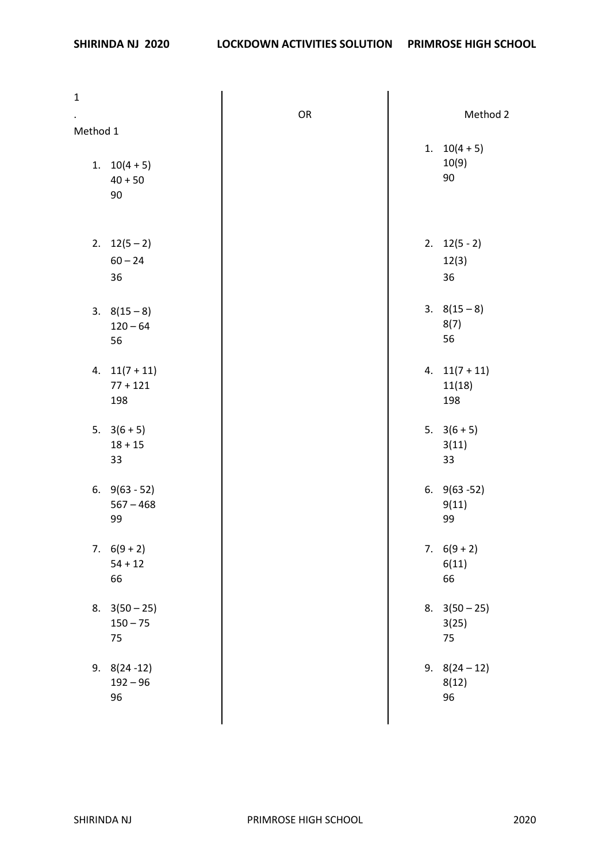| $\mathbf 1$ |                                      |    |                                |
|-------------|--------------------------------------|----|--------------------------------|
| Method 1    |                                      | OR | Method 2                       |
|             | 1. $10(4+5)$<br>$40 + 50$<br>90      |    | 1. $10(4+5)$<br>10(9)<br>90    |
|             | 2. $12(5-2)$<br>$60 - 24$<br>36      |    | 2. $12(5 - 2)$<br>12(3)<br>36  |
|             | $3. 8(15-8)$<br>$120 - 64$<br>56     |    | $3. 8(15-8)$<br>8(7)<br>56     |
|             | 4. $11(7+11)$<br>$77 + 121$<br>198   |    | 4. $11(7+11)$<br>11(18)<br>198 |
|             | 5. $3(6+5)$<br>$18 + 15$<br>33       |    | 5. $3(6+5)$<br>3(11)<br>33     |
|             | 6. $9(63 - 52)$<br>$567 - 468$<br>99 |    | 6. $9(63 - 52)$<br>9(11)<br>99 |
|             | 7. $6(9+2)$<br>$54 + 12$<br>66       |    | 7. $6(9+2)$<br>6(11)<br>66     |
|             | 8. $3(50-25)$<br>$150 - 75$<br>75    |    | 8. $3(50-25)$<br>3(25)<br>75   |
|             | $9.8(24-12)$<br>$192 - 96$<br>96     |    | 9. $8(24-12)$<br>8(12)<br>96   |
|             |                                      |    |                                |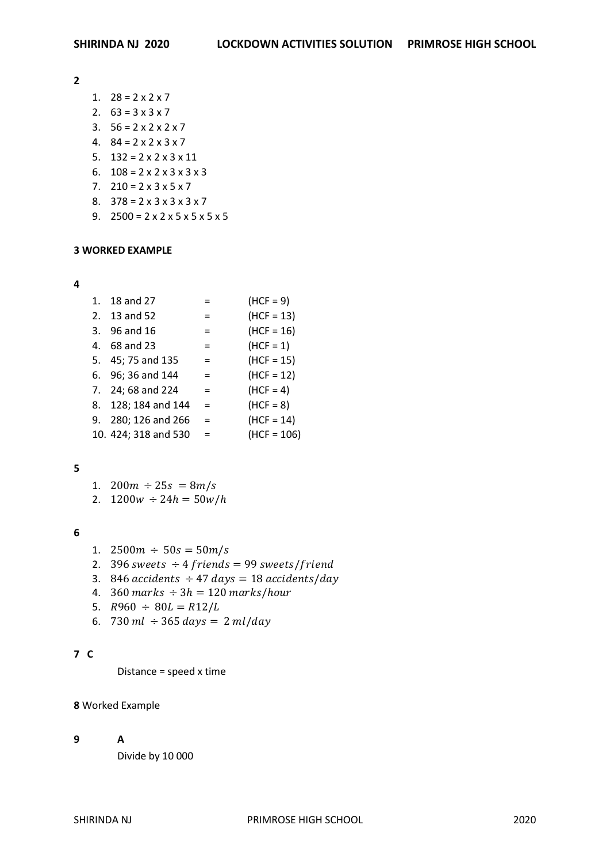**2**

- 1.  $28 = 2 \times 2 \times 7$
- 2.  $63 = 3 \times 3 \times 7$
- 3.  $56 = 2 \times 2 \times 2 \times 7$
- 4.  $84 = 2 \times 2 \times 3 \times 7$
- 5.  $132 = 2 \times 2 \times 3 \times 11$
- 6.  $108 = 2 \times 2 \times 3 \times 3 \times 3$
- 7.  $210 = 2 \times 3 \times 5 \times 7$
- 8.  $378 = 2 \times 3 \times 3 \times 3 \times 7$
- 9.  $2500 = 2 \times 2 \times 5 \times 5 \times 5 \times 5$

#### **3 WORKED EXAMPLE**

#### **4**

| 1. | 18 and 27            | $=$ | $(HCF = 9)$   |
|----|----------------------|-----|---------------|
|    | 2. 13 and 52         | $=$ | $(HCF = 13)$  |
|    | 3. 96 and 16         | $=$ | $(HCF = 16)$  |
|    | 4. 68 and 23         | $=$ | $(HCF = 1)$   |
|    | 5. 45; 75 and 135    | $=$ | $(HCF = 15)$  |
|    | 6. 96; 36 and 144    | $=$ | $(HCF = 12)$  |
|    | 7. 24; 68 and 224    | $=$ | $(HCF = 4)$   |
|    | 8. 128; 184 and 144  | $=$ | $(HCF = 8)$   |
|    | 9. 280; 126 and 266  | $=$ | $(HCF = 14)$  |
|    | 10. 424; 318 and 530 | $=$ | $(HCF = 106)$ |

### **5**

- 1.  $200m \div 25s = 8m/s$
- 2.  $1200w \div 24h = 50w/h$

### **6**

- 1.  $2500m \div 50s = 50m/s$
- 2. 396 sweets  $\div 4$  friends = 99 sweets/friend
- 3. 846  $accidents \div 47 \, days = 18 \, accidents/day$
- 4.  $360$  marks  $\div 3h = 120$  marks/hour
- 5.  $R960 \div 80L = R12/L$
- 6. 730 ml  $\div$  365 days = 2 ml/day

## **7 C**

Distance = speed x time

# **8** Worked Example

### **9 A**

Divide by 10 000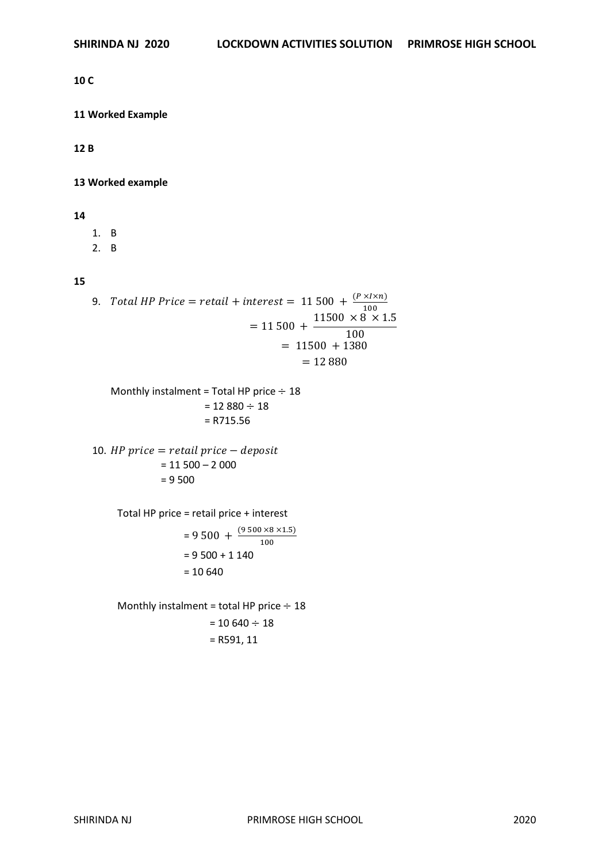#### **10 C**

## **11 Worked Example**

**12 B**

## **13 Worked example**

#### **14**

1. B

2. B

## **15**

9. Total HP Price = retail + interest = 11 500 +  $\frac{(P \times I \times n)}{100}$ 100  $= 11 500 +$  $11500 \times 8 \times 1.5$ 100  $= 11500 + 1380$  $= 12 880$ Monthly instalment = Total HP price  $\div$  18  $= 12 880 \div 18$ = R715.56 10. *HP* price  $=$  retail price  $-$  deposit  $= 11 500 - 2 000$ = 9 500 Total HP price = retail price + interest  $= 9500 + \frac{(9500 \times 8 \times 1.5)}{100}$ 100  $= 9500 + 1140$  $= 10640$ Monthly instalment = total HP price  $\div$  18

 $= 10 640 \div 18$ = R591, 11